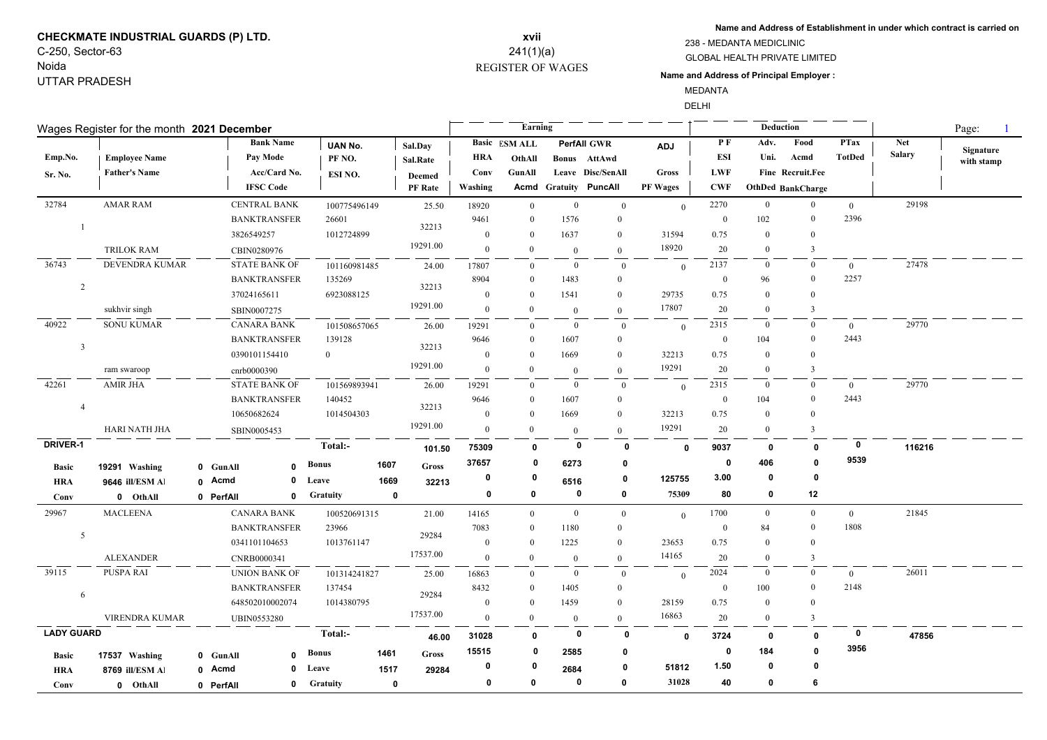## **CHECKMATE INDUSTRIAL GUARDS (P) LTD.** C-250, Sector-63

Noida UTTAR PRADESH

### REGISTER OF WAGES **xvii** 241(1)(a)

**Name and Address of Establishment in under which contract is carried on**

GLOBAL HEALTH PRIVATE LIMITED 238 - MEDANTA MEDICLINIC

#### **Name and Address of Principal Employer :**

MEDANTA

DELHI

| Wages Register for the month 2021 December |                      |                                    |           |                               |                 |              |                 |                      | Earning              |                |                         |                 |              | <b>Deduction</b> |                   | Page:          |               |            |
|--------------------------------------------|----------------------|------------------------------------|-----------|-------------------------------|-----------------|--------------|-----------------|----------------------|----------------------|----------------|-------------------------|-----------------|--------------|------------------|-------------------|----------------|---------------|------------|
|                                            |                      |                                    |           | <b>Bank Name</b>              | UAN No.         |              | Sal.Day         |                      | <b>Basic</b> ESM ALL |                | PerfAll GWR             | <b>ADJ</b>      | P F          | Adv.             | Food              | <b>PTax</b>    | <b>Net</b>    | Signature  |
| Emp.No.                                    | <b>Employee Name</b> |                                    |           | Pay Mode                      | PF NO.          |              | <b>Sal.Rate</b> | HRA                  | OthAll               |                | <b>Bonus</b> AttAwd     |                 | <b>ESI</b>   | Uni.             | Acmd              | <b>TotDed</b>  | <b>Salary</b> | with stamp |
| <b>Sr. No.</b>                             | <b>Father's Name</b> |                                    |           | Acc/Card No.                  | ESI NO.         |              | <b>Deemed</b>   | Conv                 | GunAll               |                | Leave Disc/SenAll       | <b>Gross</b>    | <b>LWF</b>   |                  | Fine Recruit.Fee  |                |               |            |
|                                            |                      |                                    |           | <b>IFSC</b> Code              |                 |              | PF Rate         | Washing              | Acmd                 |                | <b>Gratuity PuncAll</b> | <b>PF Wages</b> | <b>CWF</b>   |                  | OthDed BankCharge |                |               |            |
| 32784                                      | <b>AMAR RAM</b>      |                                    |           | <b>CENTRAL BANK</b>           | 100775496149    |              | 25.50           | 18920                | $\overline{0}$       | $\bf{0}$       | $\overline{0}$          | $\mathbf{0}$    | 2270         | $\overline{0}$   | $\mathbf{0}$      | $\overline{0}$ | 29198         |            |
|                                            |                      |                                    |           | <b>BANKTRANSFER</b>           | 26601           |              | 32213           | 9461                 | $\Omega$             | 1576           | $\mathbf{0}$            |                 | $\bf{0}$     | 102              | $\bf{0}$          | 2396           |               |            |
|                                            |                      |                                    |           | 3826549257                    | 1012724899      |              |                 | $\mathbf{0}$         | $\bf{0}$             | 1637           | $\mathbf{0}$            | 31594           | 0.75         | $\mathbf{0}$     | $\theta$          |                |               |            |
|                                            | <b>TRILOK RAM</b>    |                                    |           | CBIN0280976                   |                 |              | 19291.00        | $\overline{0}$       | $\overline{0}$       | $\Omega$       | $\theta$                | 18920           | 20           | $\overline{0}$   | 3                 |                |               |            |
| 36743                                      | DEVENDRA KUMAR       |                                    |           | <b>STATE BANK OF</b>          | 101160981485    |              | 24.00           | 17807                | $\Omega$             | $\mathbf{0}$   | $\mathbf{0}$            | $\theta$        | 2137         | $\overline{0}$   | $\mathbf{0}$      | $\mathbf{0}$   | 27478         |            |
| $\overline{2}$                             |                      | <b>BANKTRANSFER</b><br>37024165611 |           | 135269<br>32213<br>6923088125 |                 |              | 8904            | $\Omega$<br>$\Omega$ | 1483                 | $\mathbf{0}$   |                         | $\mathbf{0}$    | 96           | $\overline{0}$   | 2257              |                |               |            |
|                                            |                      |                                    |           |                               |                 |              | $\mathbf{0}$    |                      | 1541                 | $\mathbf{0}$   | 29735                   | 0.75            | $\Omega$     | $\Omega$         |                   |                |               |            |
|                                            | sukhvir singh        |                                    |           | SBIN0007275                   |                 |              | 19291.00        | $\mathbf{0}$         | $\theta$             | $\overline{0}$ | $\overline{0}$          | 17807           | 20           | $\Omega$         | $\overline{3}$    |                |               |            |
| 40922                                      | <b>SONU KUMAR</b>    |                                    |           | <b>CANARA BANK</b>            | 101508657065    |              | 26.00           | 19291                | $\overline{0}$       | $\overline{0}$ | $\mathbf{0}$            | $\theta$        | 2315         | $\bf{0}$         | $\mathbf{0}$      | $\overline{0}$ | 29770         |            |
| $\overline{\mathbf{3}}$                    |                      |                                    |           | <b>BANKTRANSFER</b>           | 139128          |              | 32213           | 9646                 | $\Omega$             | 1607           | $\mathbf{0}$            |                 | $\mathbf{0}$ | 104              | $\mathbf{0}$      | 2443           |               |            |
|                                            |                      |                                    |           | 0390101154410                 | $\theta$        |              |                 | $\bf{0}$             | $\Omega$             | 1669           | $\mathbf{0}$            | 32213           | 0.75         | $\overline{0}$   | $\Omega$          |                |               |            |
|                                            | ram swaroop          |                                    |           | cnrb0000390                   |                 |              | 19291.00        | $\bf{0}$             | $\Omega$             | $\mathbf{0}$   | $\mathbf{0}$            | 19291           | 20           | $\theta$         | 3                 |                |               |            |
| 42261                                      | <b>AMIR JHA</b>      |                                    |           | <b>STATE BANK OF</b>          | 101569893941    |              | 26.00           | 19291                | $\Omega$             | $\overline{0}$ | $\overline{0}$          | $\theta$        | 2315         | $\bf{0}$         | $\mathbf{0}$      | $\overline{0}$ | 29770         |            |
| $\overline{4}$                             |                      |                                    |           | <b>BANKTRANSFER</b>           | 140452          |              | 32213           | 9646                 | $\Omega$             | 1607           | $\overline{0}$          |                 | $\bf{0}$     | 104              | $\mathbf{0}$      | 2443           |               |            |
|                                            |                      |                                    |           | 10650682624                   | 1014504303      |              |                 | $\mathbf{0}$         | $\Omega$             | 1669           | $\mathbf{0}$            | 32213           | 0.75         | $\overline{0}$   | $\theta$          |                |               |            |
|                                            | <b>HARI NATH JHA</b> |                                    |           | SBIN0005453                   |                 |              | 19291.00        | $\overline{0}$       | $\Omega$             | $\mathbf{0}$   | $\mathbf{0}$            | 19291           | 20           | $\overline{0}$   | 3                 |                |               |            |
| <b>DRIVER-1</b>                            |                      |                                    |           |                               | Total:-         |              | 101.50          | 75309                | 0                    | $\mathbf 0$    | 0                       | $\mathbf{0}$    | 9037         | 0                | $\mathbf 0$       | $\mathbf 0$    | 116216        |            |
| <b>Basic</b>                               | 19291 Washing        |                                    | 0 GunAll  | $\Omega$                      | <b>Bonus</b>    | 1607         | Gross           | 37657                | 0                    | 6273           | 0                       |                 | $\mathbf 0$  | 406              | $\mathbf{0}$      | 9539           |               |            |
| <b>HRA</b>                                 | 9646 ill/ESM Al      |                                    | 0 Acmd    | $\mathbf 0$                   | Leave           | 1669         | 32213           | 0                    | 0                    | 6516           | 0                       | 125755          | 3.00         | 0                | $\mathbf{0}$      |                |               |            |
| Conv                                       | 0 OthAll             |                                    | 0 PerfAll | $\mathbf{0}$                  | <b>Gratuity</b> | $\mathbf 0$  |                 | 0                    | 0                    | $\mathbf 0$    | 0                       | 75309           | 80           | 0                | 12                |                |               |            |
| 29967                                      | <b>MACLEENA</b>      |                                    |           | <b>CANARA BANK</b>            | 100520691315    |              | 21.00           | 14165                | $\overline{0}$       | $\mathbf{0}$   | $\overline{0}$          | $\theta$        | 1700         | $\overline{0}$   | $\mathbf{0}$      | $\overline{0}$ | 21845         |            |
|                                            |                      | <b>BANKTRANSFER</b>                |           | 23966                         |                 |              | 7083            | $\theta$             | 1180                 | $\overline{0}$ |                         | $\mathbf{0}$    | 84           | $\mathbf{0}$     | 1808              |                |               |            |
| 5                                          |                      |                                    |           | 0341101104653                 | 1013761147      |              | 29284           | $\bf{0}$             | $\Omega$             | 1225           | $\overline{0}$          | 23653           | 0.75         | $\Omega$         | $\Omega$          |                |               |            |
|                                            | <b>ALEXANDER</b>     |                                    |           | CNRB0000341                   |                 |              | 17537.00        | $\bf{0}$             | $\Omega$             | $\mathbf{0}$   | $\mathbf{0}$            | 14165           | 20           | $\Omega$         | 3                 |                |               |            |
| 39115                                      | PUSPA RAI            |                                    |           | <b>UNION BANK OF</b>          | 101314241827    |              | 25.00           | 16863                | $\theta$             | $\mathbf{0}$   | $\overline{0}$          | $\overline{0}$  | 2024         | $\overline{0}$   | $\mathbf{0}$      | $\overline{0}$ | 26011         |            |
|                                            |                      | <b>BANKTRANSFER</b>                |           | 137454                        |                 |              | 8432            | $\Omega$             | 1405                 | $\mathbf{0}$   |                         | $\mathbf{0}$    | 100          | $\mathbf{0}$     | 2148              |                |               |            |
| 6                                          |                      |                                    |           | 648502010002074               | 1014380795      |              | 29284           | $\bf{0}$             | $\Omega$             | 1459           | $\mathbf{0}$            | 28159           | 0.75         | $\overline{0}$   | $\theta$          |                |               |            |
|                                            | VIRENDRA KUMAR       |                                    |           | <b>UBIN0553280</b>            |                 |              | 17537.00        | $\overline{0}$       | $\Omega$             | $\overline{0}$ | $\mathbf{0}$            | 16863           | 20           | $\overline{0}$   | 3                 |                |               |            |
| <b>LADY GUARD</b>                          |                      |                                    |           |                               | Total:-         |              | 46.00           | 31028                | 0                    | 0              | 0                       | $\mathbf{0}$    | 3724         | 0                | 0                 | 0              | 47856         |            |
| <b>Basic</b>                               | 17537 Washing        |                                    | 0 GunAll  | $\mathbf{0}$                  | <b>Bonus</b>    | 1461         | Gross           | 15515                | 0                    | 2585           | 0                       |                 | 0            | 184              | n                 | 3956           |               |            |
| <b>HRA</b>                                 | 8769 ill/ESM Al      |                                    | 0 Acmd    | 0                             | Leave           | 1517         | 29284           | 0                    |                      | 2684           | 0                       | 51812           | 1.50         | 0                |                   |                |               |            |
| Conv                                       | 0 OthAll             |                                    | 0 PerfAll | 0                             | Gratuity        | $\mathbf{0}$ |                 | 0                    | $\mathbf{0}$         | $\mathbf 0$    | $\mathbf{0}$            | 31028           | 40           | 0                | 6                 |                |               |            |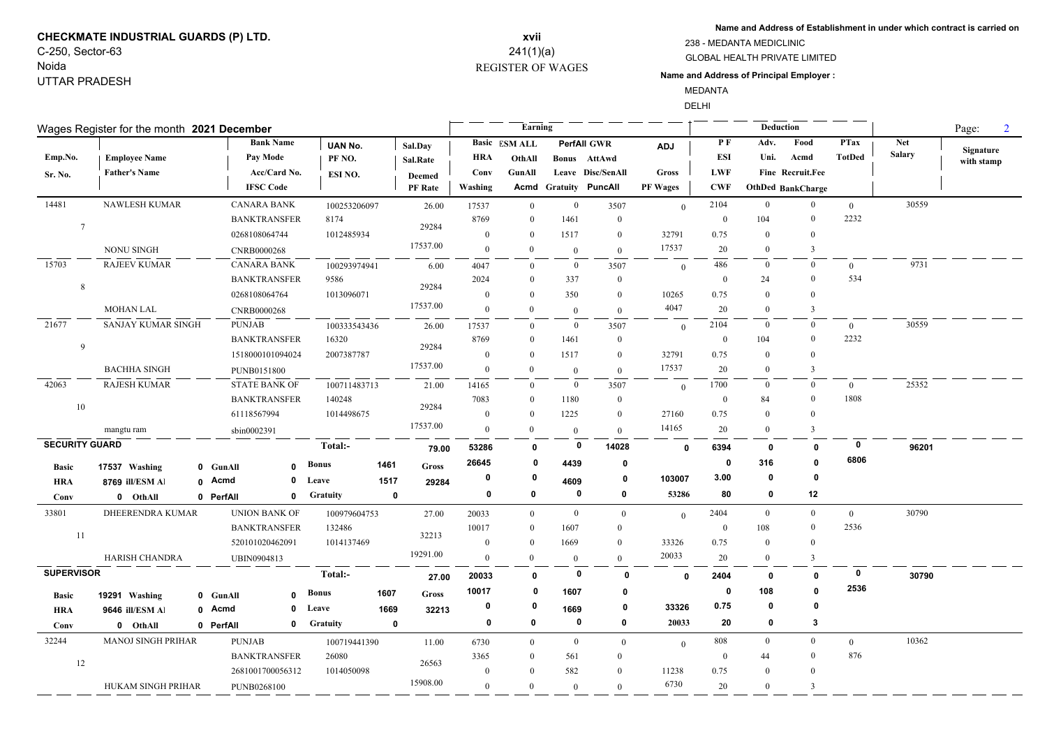# **CHECKMATE INDUSTRIAL GUARDS (P) LTD.** C-250, Sector-63

Noida UTTAR PRADESH

## REGISTER OF WAGES **xvii** 241(1)(a)

**Name and Address of Establishment in under which contract is carried on**

#### GLOBAL HEALTH PRIVATE LIMITED 238 - MEDANTA MEDICLINIC

#### **Name and Address of Principal Employer :**

MEDANTA

**Contract Contract** 

DELHI

| Wages Register for the month 2021 December |                           | Earning             |                      |                |             |                | Deduction      |                      | $\overline{2}$<br>Page: |                              |                 |                  |                  |                          |                |               |            |
|--------------------------------------------|---------------------------|---------------------|----------------------|----------------|-------------|----------------|----------------|----------------------|-------------------------|------------------------------|-----------------|------------------|------------------|--------------------------|----------------|---------------|------------|
|                                            |                           |                     | <b>Bank Name</b>     | <b>UAN No.</b> |             | Sal.Day        |                | <b>Basic ESM ALL</b> |                         | <b>PerfAll GWR</b>           | <b>ADJ</b>      | PF               | Adv.             | Food                     | <b>PTax</b>    | <b>Net</b>    | Signature  |
| Emp.No.                                    | <b>Employee Name</b>      |                     | Pay Mode             | PF NO.         |             | Sal.Rate       | <b>HRA</b>     | OthAll               |                         | Bonus AttAwd                 |                 | ESI              | Uni.             | Acmd                     | <b>TotDed</b>  | <b>Salary</b> | with stamp |
| Sr. No.                                    | <b>Father's Name</b>      |                     | Acc/Card No.         | ESI NO.        |             | <b>Deemed</b>  | Conv           | <b>GunAll</b>        |                         | Leave Disc/SenAll            | <b>Gross</b>    | <b>LWF</b>       |                  | Fine Recruit.Fee         |                |               |            |
|                                            |                           |                     | <b>IFSC Code</b>     |                |             | <b>PF</b> Rate | Washing        |                      |                         | <b>Acmd Gratuity PuncAll</b> | <b>PF Wages</b> | <b>CWF</b>       |                  | <b>OthDed BankCharge</b> |                |               |            |
| 14481                                      | <b>NAWLESH KUMAR</b>      |                     | <b>CANARA BANK</b>   | 100253206097   |             | 26.00          | 17537          | $\mathbf{0}$         | $\mathbf{0}$            | 3507                         | $\theta$        | 2104             | $\overline{0}$   | $\overline{0}$           | $\overline{0}$ | 30559         |            |
| $7\phantom{.0}$                            |                           |                     | <b>BANKTRANSFER</b>  | 8174           | 29284       | 8769           | $\Omega$       | 1461                 | $\mathbf{0}$            |                              | $\bf{0}$        | 104              | $\Omega$         | 2232                     |                |               |            |
|                                            |                           |                     | 0268108064744        |                | 1012485934  |                | $\theta$       | $\theta$             | 1517                    | $\theta$                     | 32791           | 0.75             | $\Omega$         | $\overline{0}$           |                |               |            |
|                                            | <b>NONU SINGH</b>         |                     | CNRB0000268          |                |             | 17537.00       | $\mathbf{0}$   | $\theta$             | $\mathbf{0}$            | $\mathbf{0}$                 | 17537           | 20               | $\theta$         | 3                        |                |               |            |
| 15703                                      | <b>RAJEEV KUMAR</b>       |                     | <b>CANARA BANK</b>   | 100293974941   |             | 6.00           | 4047           | $\Omega$             | $\overline{0}$          | 3507                         | $\theta$        | 486              | $\theta$         | $\Omega$                 | $\theta$       | 9731          |            |
| 8                                          |                           |                     | <b>BANKTRANSFER</b>  | 9586           |             | 29284          | 2024           | $\Omega$             | 337                     | $\mathbf{0}$                 |                 | $\theta$         | 24               | $\theta$                 | 534            |               |            |
|                                            |                           |                     | 0268108064764        |                | 1013096071  |                | $\overline{0}$ | $\Omega$             | 350                     | $\overline{0}$               | 10265           | 0.75             | $\Omega$         | $\Omega$                 |                |               |            |
|                                            | <b>MOHAN LAL</b>          |                     | CNRB0000268          |                |             | 17537.00       | $\mathbf{0}$   | $\mathbf{0}$         | $\overline{0}$          | $\mathbf{0}$                 | 4047            | 20               | $\boldsymbol{0}$ | 3                        |                |               |            |
| 21677                                      | SANJAY KUMAR SINGH        |                     | <b>PUNJAB</b>        | 100333543436   |             | 26.00          | 17537          | $\Omega$             | $\overline{0}$          | 3507                         | $\theta$        | 2104             | $\bf{0}$         | $\mathbf{0}$             | $\overline{0}$ | 30559         |            |
| $\overline{9}$                             |                           |                     | <b>BANKTRANSFER</b>  | 16320          |             | 29284          | 8769           | $\Omega$             | 1461                    | $\mathbf{0}$                 |                 | $\mathbf{0}$     | 104              | $\theta$                 | 2232           |               |            |
|                                            |                           |                     | 1518000101094024     | 2007387787     |             |                | $\overline{0}$ | $\overline{0}$       | 1517                    | $\overline{0}$               | 32791           | 0.75             | $\theta$         | $\theta$                 |                |               |            |
|                                            | <b>BACHHA SINGH</b>       |                     | PUNB0151800          |                |             | 17537.00       | $\overline{0}$ | $\mathbf{0}$         | $\overline{0}$          | $\overline{0}$               | 17537           | 20               | $\bf{0}$         | 3                        |                |               |            |
| 42063                                      | <b>RAJESH KUMAR</b>       |                     | <b>STATE BANK OF</b> | 100711483713   |             | 21.00          | 14165          | $\theta$             | $\overline{0}$          | 3507                         | $\theta$        | 1700             | $\mathbf{0}$     | $\overline{0}$           | $\theta$       | 25352         |            |
| 10                                         |                           |                     | <b>BANKTRANSFER</b>  | 140248         |             | 29284          | 7083           | $\overline{0}$       | 1180                    | $\mathbf{0}$                 |                 | $\boldsymbol{0}$ | 84               | $\mathbf{0}$             | 1808           |               |            |
|                                            |                           |                     | 61118567994          | 1014498675     |             |                | $\theta$       | $\Omega$             | 1225                    | $\theta$                     | 27160           | 0.75             | $\Omega$         | $\theta$                 |                |               |            |
| mangtu ram                                 |                           |                     | sbin0002391          |                |             | 17537.00       | $\overline{0}$ | $\overline{0}$       | $\overline{0}$          | $\theta$                     | 14165           | 20               | $\overline{0}$   | $\overline{3}$           |                |               |            |
| <b>SECURITY GUARD</b>                      |                           |                     |                      | Total:-        |             | 79.00          | 53286          | $\mathbf{0}$         | $\mathbf 0$             | 14028                        | $\mathbf{0}$    | 6394             | 0                | $\mathbf{0}$             | 0              | 96201         |            |
| <b>Basic</b>                               | 17537 Washing             | 0 GunAll            | $\mathbf{0}$         | <b>Bonus</b>   | 1461        | <b>Gross</b>   | 26645          | 0                    | 4439                    | $\mathbf 0$                  |                 | 0                | 316              | $\mathbf{0}$             | 6806           |               |            |
| <b>HRA</b>                                 | 8769 ill/ESM Al           | 0 Acmd              | $\mathbf 0$          | Leave          | 1517        | 29284          | 0              | 0                    | 4609                    | 0                            | 103007          | 3.00             | 0                | $\mathbf 0$              |                |               |            |
| Conv                                       | 0 OthAll                  | 0 PerfAll           | $\mathbf 0$          | Gratuity       | $\mathbf 0$ |                | $\pmb{0}$      | $\bf{0}$             | 0                       | $\mathbf 0$                  | 53286           | 80               | $\mathbf 0$      | 12                       |                |               |            |
| 33801                                      | DHEERENDRA KUMAR          |                     | <b>UNION BANK OF</b> | 100979604753   |             | 27.00          | 20033          | $\bf{0}$             | $\mathbf{0}$            | $\mathbf{0}$                 | $\theta$        | 2404             | $\mathbf{0}$     | $\overline{0}$           | $\overline{0}$ | 30790         |            |
|                                            |                           | <b>BANKTRANSFER</b> |                      | 132486         |             |                | 10017          | $\overline{0}$       | 1607                    | $\mathbf{0}$                 |                 | $\mathbf{0}$     | 108              | $\theta$                 | 2536           |               |            |
| -11                                        |                           |                     | 520101020462091      | 1014137469     |             | 32213          | $\theta$       | $\theta$             | 1669                    | $\theta$                     | 33326           | 0.75             | $\overline{0}$   | $\theta$                 |                |               |            |
|                                            | <b>HARISH CHANDRA</b>     |                     | UBIN0904813          |                |             | 19291.00       | $\theta$       | $\Omega$             | $\overline{0}$          | $\theta$                     | 20033           | 20               | $\theta$         | $\overline{3}$           |                |               |            |
| <b>SUPERVISOR</b>                          |                           |                     |                      | Total:-        |             | 27.00          | 20033          | $\mathbf{0}$         | $\mathbf 0$             | 0                            | $\mathbf{0}$    | 2404             | $\mathbf 0$      | $\mathbf 0$              | $\mathbf{0}$   | 30790         |            |
| <b>Basic</b>                               | 19291 Washing             | 0 GunAll            | $\mathbf{0}$         | <b>Bonus</b>   | 1607        | <b>Gross</b>   | 10017          | 0                    | 1607                    | 0                            |                 | 0                | 108              | $\mathbf{0}$             | 2536           |               |            |
| <b>HRA</b>                                 | 9646 ill/ESM Al           | 0 Acmd              | 0                    | Leave          | 1669        | 32213          | 0              | 0                    | 1669                    | 0                            | 33326           | 0.75             | $\mathbf 0$      | $\mathbf 0$              |                |               |            |
| Conv                                       | 0 OthAll                  | 0 PerfAll           | $\mathbf 0$          | Gratuity       | $\mathbf 0$ |                | $\mathbf 0$    | 0                    | 0                       | $\mathbf 0$                  | 20033           | 20               | $\mathbf 0$      | $\mathbf{3}$             |                |               |            |
| 32244                                      | <b>MANOJ SINGH PRIHAR</b> |                     | <b>PUNJAB</b>        | 100719441390   |             | 11.00          | 6730           | $\Omega$             | $\overline{0}$          | $\Omega$                     | $\theta$        | 808              | $\overline{0}$   | $\overline{0}$           | $\overline{0}$ | 10362         |            |
|                                            |                           |                     | <b>BANKTRANSFER</b>  | 26080          |             |                | 3365           | $\Omega$             | 561                     | $\theta$                     |                 | $\mathbf{0}$     | 44               | $\Omega$                 | 876            |               |            |
| 12                                         |                           |                     | 2681001700056312     | 1014050098     |             | 26563          | $\overline{0}$ | $\Omega$             | 582                     | $\Omega$                     | 11238           | 0.75             | $\Omega$         | $\theta$                 |                |               |            |
|                                            | HUKAM SINGH PRIHAR        |                     | PUNB0268100          |                |             | 15908.00       | $\Omega$       | $\overline{0}$       | $\overline{0}$          | $\theta$                     | 6730            | 20               | $\theta$         | $\overline{3}$           |                |               |            |
|                                            |                           |                     |                      |                |             |                |                |                      |                         |                              |                 |                  |                  |                          |                |               |            |